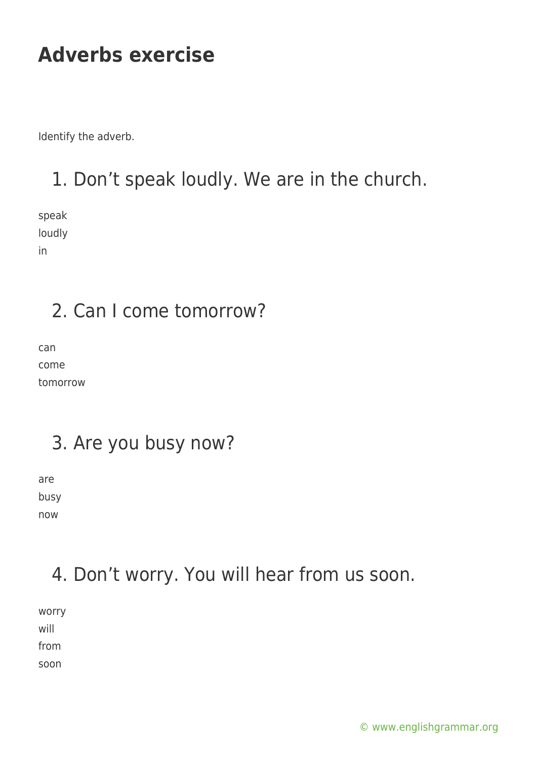Identify the adverb.

### 1. Don't speak loudly. We are in the church.

speak loudly in

#### 2. Can I come tomorrow?

can come tomorrow

#### 3. Are you busy now?

are busy now

#### 4. Don't worry. You will hear from us soon.

worry will from

soon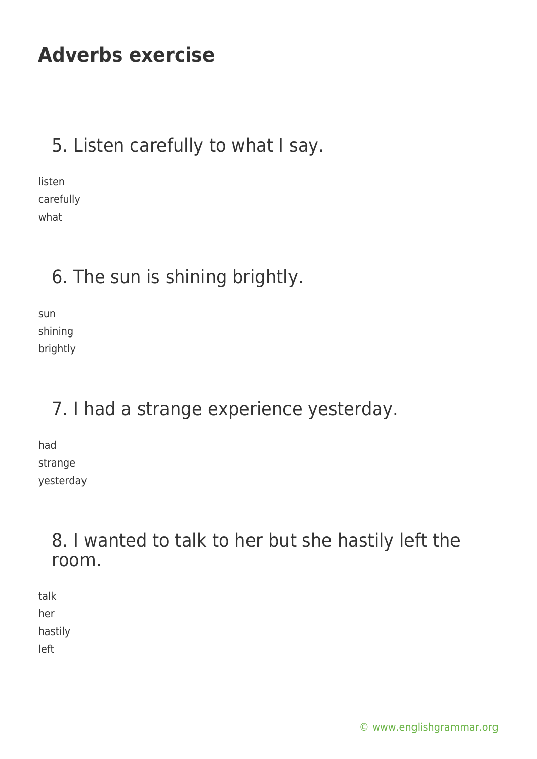### 5. Listen carefully to what I say.

listen carefully what

#### 6. The sun is shining brightly.

sun shining brightly

# 7. I had a strange experience yesterday.

had strange yesterday

#### 8. I wanted to talk to her but she hastily left the room.

talk her hastily left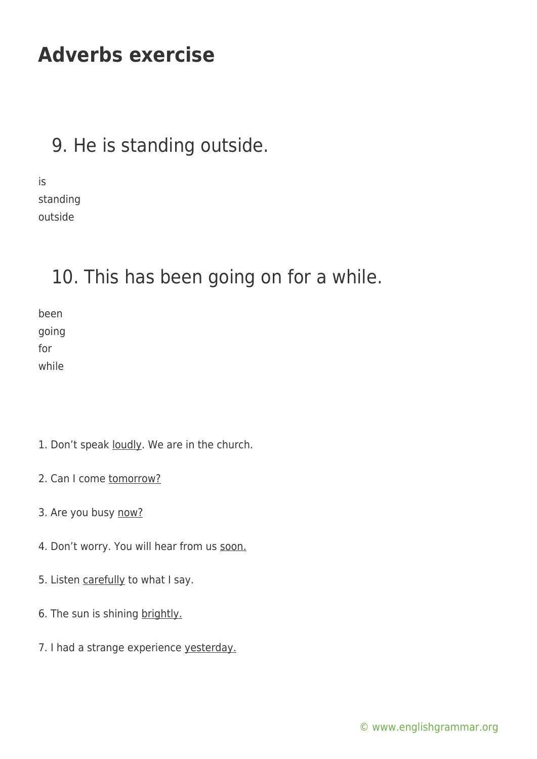#### 9. He is standing outside.

is standing outside

#### 10. This has been going on for a while.

been going for while

- 1. Don't speak loudly. We are in the church.
- 2. Can I come tomorrow?
- 3. Are you busy now?
- 4. Don't worry. You will hear from us soon.
- 5. Listen carefully to what I say.
- 6. The sun is shining brightly.
- 7. I had a strange experience yesterday.